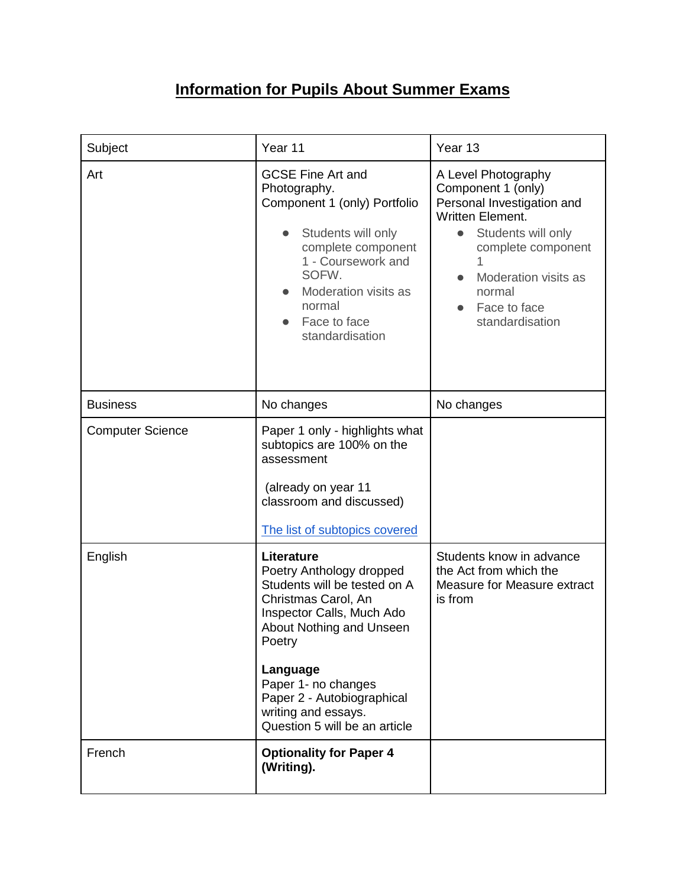## **Information for Pupils About Summer Exams**

| Subject                 | Year 11                                                                                                                                                                                                                                                                                   | Year 13                                                                                                                                                                                                             |
|-------------------------|-------------------------------------------------------------------------------------------------------------------------------------------------------------------------------------------------------------------------------------------------------------------------------------------|---------------------------------------------------------------------------------------------------------------------------------------------------------------------------------------------------------------------|
| Art                     | <b>GCSE Fine Art and</b><br>Photography.<br>Component 1 (only) Portfolio<br>Students will only<br>complete component<br>1 - Coursework and<br>SOFW.<br>Moderation visits as<br>normal<br>Face to face<br>standardisation                                                                  | A Level Photography<br>Component 1 (only)<br>Personal Investigation and<br><b>Written Element.</b><br>Students will only<br>complete component<br>Moderation visits as<br>normal<br>Face to face<br>standardisation |
| <b>Business</b>         | No changes                                                                                                                                                                                                                                                                                | No changes                                                                                                                                                                                                          |
| <b>Computer Science</b> | Paper 1 only - highlights what<br>subtopics are 100% on the<br>assessment<br>(already on year 11<br>classroom and discussed)<br>The list of subtopics covered                                                                                                                             |                                                                                                                                                                                                                     |
| English                 | Literature<br>Poetry Anthology dropped<br>Students will be tested on A<br>Christmas Carol, An<br>Inspector Calls, Much Ado<br>About Nothing and Unseen<br>Poetry<br>Language<br>Paper 1- no changes<br>Paper 2 - Autobiographical<br>writing and essays.<br>Question 5 will be an article | Students know in advance<br>the Act from which the<br>Measure for Measure extract<br>is from                                                                                                                        |
| French                  | <b>Optionality for Paper 4</b><br>(Writing).                                                                                                                                                                                                                                              |                                                                                                                                                                                                                     |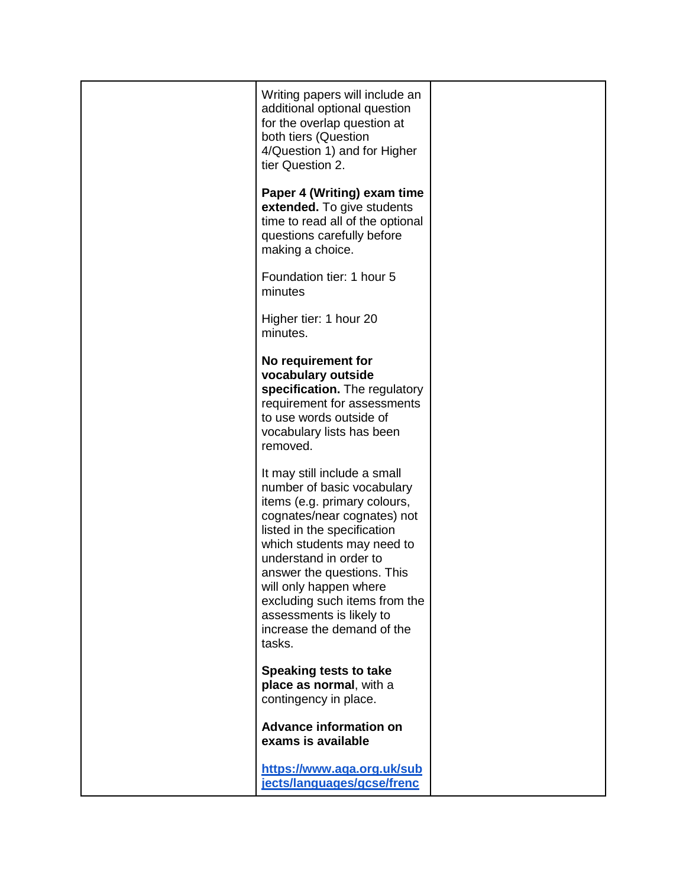| Writing papers will include an<br>additional optional question<br>for the overlap question at<br>both tiers (Question<br>4/Question 1) and for Higher<br>tier Question 2.                                                                                                                                                                                                     |  |
|-------------------------------------------------------------------------------------------------------------------------------------------------------------------------------------------------------------------------------------------------------------------------------------------------------------------------------------------------------------------------------|--|
| Paper 4 (Writing) exam time<br>extended. To give students<br>time to read all of the optional<br>questions carefully before<br>making a choice.                                                                                                                                                                                                                               |  |
| Foundation tier: 1 hour 5<br>minutes                                                                                                                                                                                                                                                                                                                                          |  |
| Higher tier: 1 hour 20<br>minutes.                                                                                                                                                                                                                                                                                                                                            |  |
| No requirement for<br>vocabulary outside<br>specification. The regulatory<br>requirement for assessments<br>to use words outside of<br>vocabulary lists has been<br>removed.                                                                                                                                                                                                  |  |
| It may still include a small<br>number of basic vocabulary<br>items (e.g. primary colours,<br>cognates/near cognates) not<br>listed in the specification<br>which students may need to<br>understand in order to<br>answer the questions. This<br>will only happen where<br>excluding such items from the<br>assessments is likely to<br>increase the demand of the<br>tasks. |  |
| Speaking tests to take<br>place as normal, with a<br>contingency in place.                                                                                                                                                                                                                                                                                                    |  |
| <b>Advance information on</b><br>exams is available                                                                                                                                                                                                                                                                                                                           |  |
| https://www.aqa.org.uk/sub<br>jects/languages/gcse/frenc                                                                                                                                                                                                                                                                                                                      |  |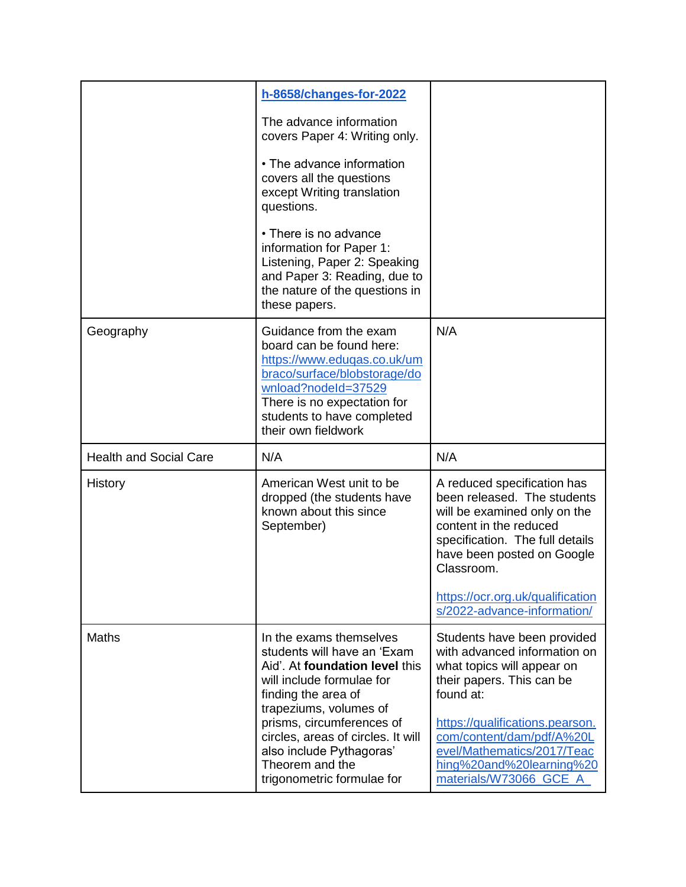|                               | h-8658/changes-for-2022                                                                                                                                                                                                      |                                                                                                                                                                                                     |
|-------------------------------|------------------------------------------------------------------------------------------------------------------------------------------------------------------------------------------------------------------------------|-----------------------------------------------------------------------------------------------------------------------------------------------------------------------------------------------------|
|                               | The advance information<br>covers Paper 4: Writing only.                                                                                                                                                                     |                                                                                                                                                                                                     |
|                               | • The advance information<br>covers all the questions<br>except Writing translation<br>questions.                                                                                                                            |                                                                                                                                                                                                     |
|                               | • There is no advance<br>information for Paper 1:<br>Listening, Paper 2: Speaking<br>and Paper 3: Reading, due to<br>the nature of the questions in<br>these papers.                                                         |                                                                                                                                                                                                     |
| Geography                     | Guidance from the exam<br>board can be found here:<br>https://www.eduqas.co.uk/um<br>braco/surface/blobstorage/do<br>wnload?nodeId=37529<br>There is no expectation for<br>students to have completed<br>their own fieldwork | N/A                                                                                                                                                                                                 |
|                               |                                                                                                                                                                                                                              |                                                                                                                                                                                                     |
| <b>Health and Social Care</b> | N/A                                                                                                                                                                                                                          | N/A                                                                                                                                                                                                 |
| History                       | American West unit to be<br>dropped (the students have<br>known about this since<br>September)                                                                                                                               | A reduced specification has<br>been released. The students<br>will be examined only on the<br>content in the reduced<br>specification. The full details<br>have been posted on Google<br>Classroom. |
|                               |                                                                                                                                                                                                                              | https://ocr.org.uk/qualification<br>s/2022-advance-information/                                                                                                                                     |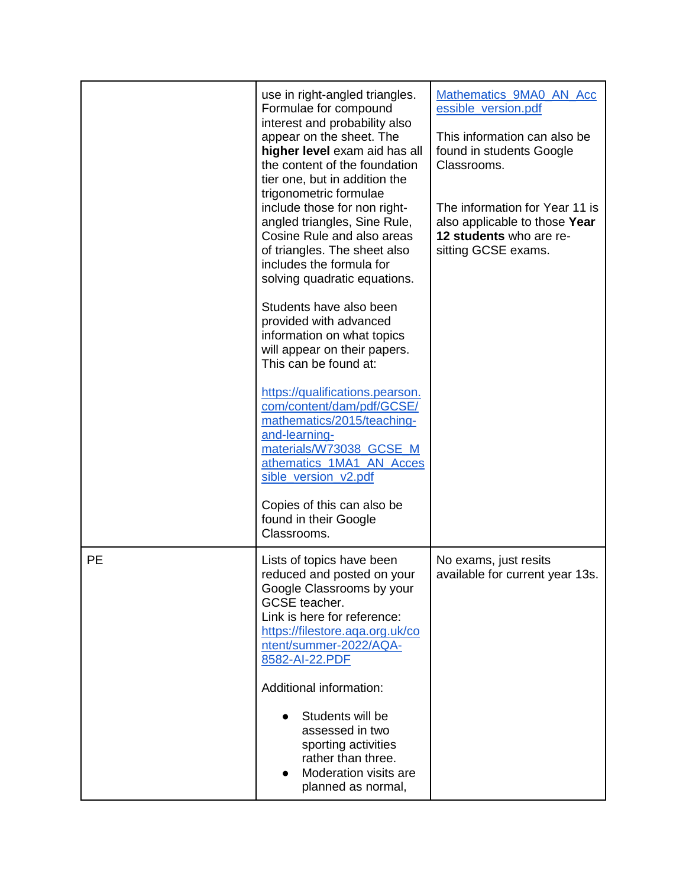|    | use in right-angled triangles.<br>Formulae for compound<br>interest and probability also<br>appear on the sheet. The<br>higher level exam aid has all<br>the content of the foundation<br>tier one, but in addition the<br>trigonometric formulae<br>include those for non right-<br>angled triangles, Sine Rule,<br>Cosine Rule and also areas<br>of triangles. The sheet also<br>includes the formula for<br>solving quadratic equations.<br>Students have also been<br>provided with advanced<br>information on what topics<br>will appear on their papers.<br>This can be found at:<br>https://qualifications.pearson.<br>com/content/dam/pdf/GCSE/<br>mathematics/2015/teaching-<br>and-learning-<br>materials/W73038 GCSE M<br>athematics_1MA1_AN_Acces<br>sible_version_v2.pdf<br>Copies of this can also be<br>found in their Google<br>Classrooms. | Mathematics_9MA0_AN_Acc<br>essible_version.pdf<br>This information can also be<br>found in students Google<br>Classrooms.<br>The information for Year 11 is<br>also applicable to those Year<br>12 students who are re-<br>sitting GCSE exams. |
|----|-------------------------------------------------------------------------------------------------------------------------------------------------------------------------------------------------------------------------------------------------------------------------------------------------------------------------------------------------------------------------------------------------------------------------------------------------------------------------------------------------------------------------------------------------------------------------------------------------------------------------------------------------------------------------------------------------------------------------------------------------------------------------------------------------------------------------------------------------------------|------------------------------------------------------------------------------------------------------------------------------------------------------------------------------------------------------------------------------------------------|
| PE | Lists of topics have been<br>reduced and posted on your<br>Google Classrooms by your<br>GCSE teacher.<br>Link is here for reference:<br>https://filestore.aqa.org.uk/co<br>ntent/summer-2022/AQA-<br>8582-AI-22.PDF<br>Additional information:<br>Students will be<br>assessed in two<br>sporting activities<br>rather than three.<br>Moderation visits are<br>planned as normal,                                                                                                                                                                                                                                                                                                                                                                                                                                                                           | No exams, just resits<br>available for current year 13s.                                                                                                                                                                                       |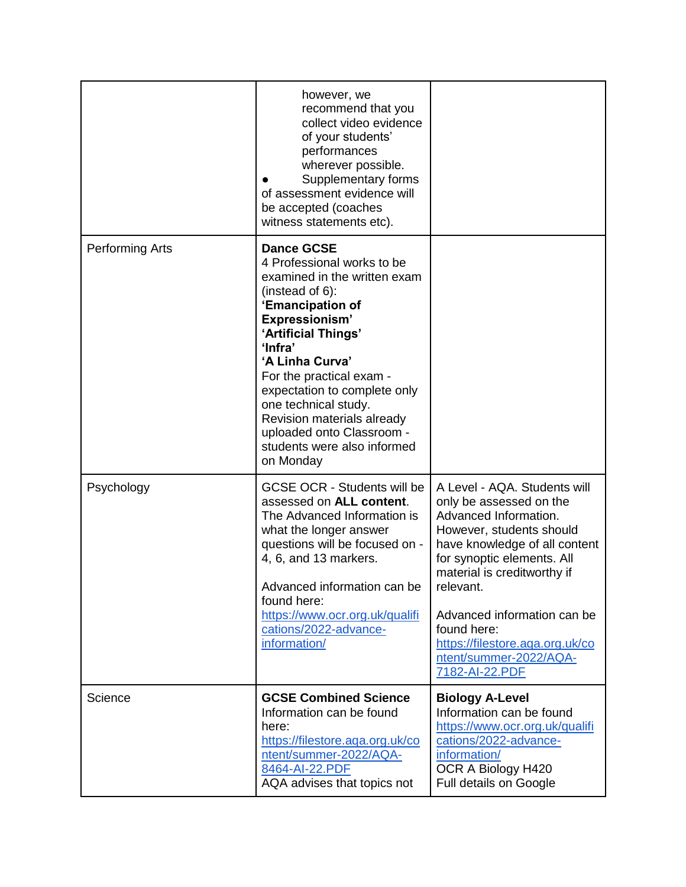|                        | however, we<br>recommend that you<br>collect video evidence<br>of your students'<br>performances<br>wherever possible.<br>Supplementary forms<br>of assessment evidence will<br>be accepted (coaches<br>witness statements etc).                                                                                                                                                            |                                                                                                                                                                                                                                                                                                                                                      |
|------------------------|---------------------------------------------------------------------------------------------------------------------------------------------------------------------------------------------------------------------------------------------------------------------------------------------------------------------------------------------------------------------------------------------|------------------------------------------------------------------------------------------------------------------------------------------------------------------------------------------------------------------------------------------------------------------------------------------------------------------------------------------------------|
| <b>Performing Arts</b> | <b>Dance GCSE</b><br>4 Professional works to be<br>examined in the written exam<br>(instead of $6$ ):<br>'Emancipation of<br>Expressionism'<br>'Artificial Things'<br>'Infra'<br>'A Linha Curva'<br>For the practical exam -<br>expectation to complete only<br>one technical study.<br>Revision materials already<br>uploaded onto Classroom -<br>students were also informed<br>on Monday |                                                                                                                                                                                                                                                                                                                                                      |
| Psychology             | <b>GCSE OCR - Students will be</b><br>assessed on ALL content.<br>The Advanced Information is<br>what the longer answer<br>questions will be focused on -<br>4, 6, and 13 markers.<br>Advanced information can be<br>found here:<br>https://www.ocr.org.uk/qualifi<br>cations/2022-advance-<br>information/                                                                                 | A Level - AQA. Students will<br>only be assessed on the<br>Advanced Information.<br>However, students should<br>have knowledge of all content<br>for synoptic elements. All<br>material is creditworthy if<br>relevant.<br>Advanced information can be<br>found here:<br>https://filestore.aqa.org.uk/co<br>ntent/summer-2022/AQA-<br>7182-AI-22.PDF |
| Science                | <b>GCSE Combined Science</b><br>Information can be found<br>here:<br>https://filestore.aqa.org.uk/co<br>ntent/summer-2022/AQA-<br>8464-AI-22.PDF<br>AQA advises that topics not                                                                                                                                                                                                             | <b>Biology A-Level</b><br>Information can be found<br>https://www.ocr.org.uk/qualifi<br>cations/2022-advance-<br>information/<br>OCR A Biology H420<br>Full details on Google                                                                                                                                                                        |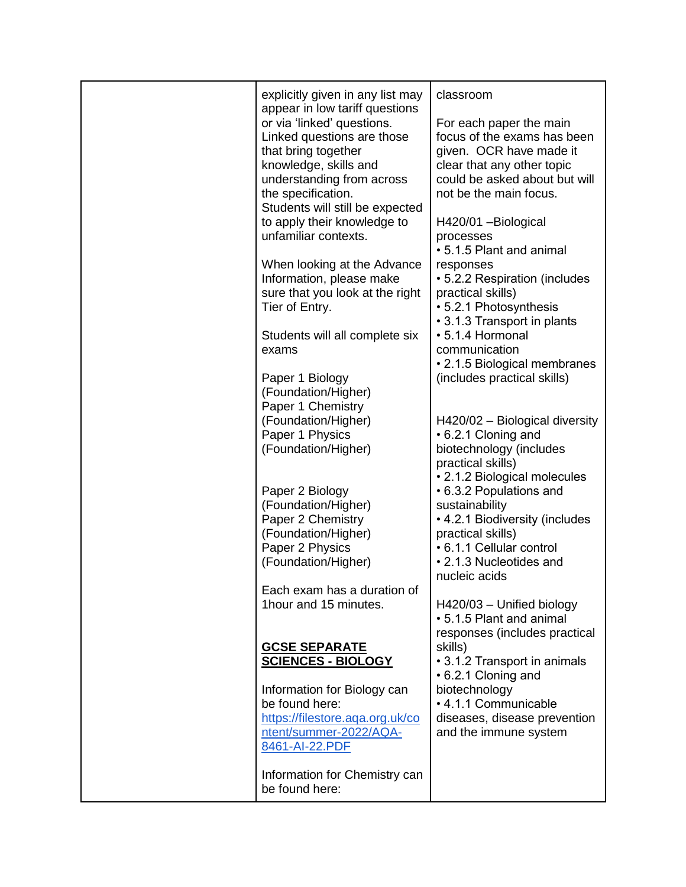| explicitly given in any list may<br>classroom<br>appear in low tariff questions<br>or via 'linked' questions.<br>For each paper the main<br>Linked questions are those<br>focus of the exams has been<br>that bring together<br>given. OCR have made it<br>knowledge, skills and<br>clear that any other topic<br>could be asked about but will<br>understanding from across<br>the specification.<br>not be the main focus.<br>Students will still be expected<br>to apply their knowledge to<br>H420/01 - Biological<br>unfamiliar contexts.<br>processes<br>• 5.1.5 Plant and animal<br>When looking at the Advance<br>responses<br>Information, please make<br>• 5.2.2 Respiration (includes<br>sure that you look at the right<br>practical skills)<br>Tier of Entry.<br>• 5.2.1 Photosynthesis<br>• 3.1.3 Transport in plants<br>• 5.1.4 Hormonal<br>Students will all complete six<br>communication<br>exams<br>• 2.1.5 Biological membranes<br>(includes practical skills)<br>Paper 1 Biology<br>(Foundation/Higher)<br>Paper 1 Chemistry<br>(Foundation/Higher)<br>H420/02 - Biological diversity<br>Paper 1 Physics<br>• 6.2.1 Cloning and<br>(Foundation/Higher)<br>biotechnology (includes<br>practical skills)<br>• 2.1.2 Biological molecules<br>Paper 2 Biology<br>• 6.3.2 Populations and<br>(Foundation/Higher)<br>sustainability<br>Paper 2 Chemistry<br>• 4.2.1 Biodiversity (includes<br>(Foundation/Higher)<br>practical skills)<br>Paper 2 Physics<br>• 6.1.1 Cellular control<br>(Foundation/Higher)<br>• 2.1.3 Nucleotides and<br>nucleic acids<br>Each exam has a duration of<br>1hour and 15 minutes.<br>H420/03 - Unified biology<br>• 5.1.5 Plant and animal<br>responses (includes practical<br><b>GCSE SEPARATE</b><br>skills)<br><b>SCIENCES - BIOLOGY</b><br>• 3.1.2 Transport in animals<br>• 6.2.1 Cloning and<br>Information for Biology can<br>biotechnology<br>• 4.1.1 Communicable<br>be found here:<br>https://filestore.aga.org.uk/co<br>diseases, disease prevention<br>ntent/summer-2022/AQA-<br>and the immune system<br>8461-AI-22.PDF |                               |  |
|------------------------------------------------------------------------------------------------------------------------------------------------------------------------------------------------------------------------------------------------------------------------------------------------------------------------------------------------------------------------------------------------------------------------------------------------------------------------------------------------------------------------------------------------------------------------------------------------------------------------------------------------------------------------------------------------------------------------------------------------------------------------------------------------------------------------------------------------------------------------------------------------------------------------------------------------------------------------------------------------------------------------------------------------------------------------------------------------------------------------------------------------------------------------------------------------------------------------------------------------------------------------------------------------------------------------------------------------------------------------------------------------------------------------------------------------------------------------------------------------------------------------------------------------------------------------------------------------------------------------------------------------------------------------------------------------------------------------------------------------------------------------------------------------------------------------------------------------------------------------------------------------------------------------------------------------------------------------------------------------------------------------------------------------------------------------------------|-------------------------------|--|
|                                                                                                                                                                                                                                                                                                                                                                                                                                                                                                                                                                                                                                                                                                                                                                                                                                                                                                                                                                                                                                                                                                                                                                                                                                                                                                                                                                                                                                                                                                                                                                                                                                                                                                                                                                                                                                                                                                                                                                                                                                                                                    |                               |  |
|                                                                                                                                                                                                                                                                                                                                                                                                                                                                                                                                                                                                                                                                                                                                                                                                                                                                                                                                                                                                                                                                                                                                                                                                                                                                                                                                                                                                                                                                                                                                                                                                                                                                                                                                                                                                                                                                                                                                                                                                                                                                                    |                               |  |
|                                                                                                                                                                                                                                                                                                                                                                                                                                                                                                                                                                                                                                                                                                                                                                                                                                                                                                                                                                                                                                                                                                                                                                                                                                                                                                                                                                                                                                                                                                                                                                                                                                                                                                                                                                                                                                                                                                                                                                                                                                                                                    |                               |  |
|                                                                                                                                                                                                                                                                                                                                                                                                                                                                                                                                                                                                                                                                                                                                                                                                                                                                                                                                                                                                                                                                                                                                                                                                                                                                                                                                                                                                                                                                                                                                                                                                                                                                                                                                                                                                                                                                                                                                                                                                                                                                                    |                               |  |
|                                                                                                                                                                                                                                                                                                                                                                                                                                                                                                                                                                                                                                                                                                                                                                                                                                                                                                                                                                                                                                                                                                                                                                                                                                                                                                                                                                                                                                                                                                                                                                                                                                                                                                                                                                                                                                                                                                                                                                                                                                                                                    |                               |  |
|                                                                                                                                                                                                                                                                                                                                                                                                                                                                                                                                                                                                                                                                                                                                                                                                                                                                                                                                                                                                                                                                                                                                                                                                                                                                                                                                                                                                                                                                                                                                                                                                                                                                                                                                                                                                                                                                                                                                                                                                                                                                                    |                               |  |
|                                                                                                                                                                                                                                                                                                                                                                                                                                                                                                                                                                                                                                                                                                                                                                                                                                                                                                                                                                                                                                                                                                                                                                                                                                                                                                                                                                                                                                                                                                                                                                                                                                                                                                                                                                                                                                                                                                                                                                                                                                                                                    |                               |  |
|                                                                                                                                                                                                                                                                                                                                                                                                                                                                                                                                                                                                                                                                                                                                                                                                                                                                                                                                                                                                                                                                                                                                                                                                                                                                                                                                                                                                                                                                                                                                                                                                                                                                                                                                                                                                                                                                                                                                                                                                                                                                                    |                               |  |
|                                                                                                                                                                                                                                                                                                                                                                                                                                                                                                                                                                                                                                                                                                                                                                                                                                                                                                                                                                                                                                                                                                                                                                                                                                                                                                                                                                                                                                                                                                                                                                                                                                                                                                                                                                                                                                                                                                                                                                                                                                                                                    |                               |  |
|                                                                                                                                                                                                                                                                                                                                                                                                                                                                                                                                                                                                                                                                                                                                                                                                                                                                                                                                                                                                                                                                                                                                                                                                                                                                                                                                                                                                                                                                                                                                                                                                                                                                                                                                                                                                                                                                                                                                                                                                                                                                                    |                               |  |
|                                                                                                                                                                                                                                                                                                                                                                                                                                                                                                                                                                                                                                                                                                                                                                                                                                                                                                                                                                                                                                                                                                                                                                                                                                                                                                                                                                                                                                                                                                                                                                                                                                                                                                                                                                                                                                                                                                                                                                                                                                                                                    |                               |  |
|                                                                                                                                                                                                                                                                                                                                                                                                                                                                                                                                                                                                                                                                                                                                                                                                                                                                                                                                                                                                                                                                                                                                                                                                                                                                                                                                                                                                                                                                                                                                                                                                                                                                                                                                                                                                                                                                                                                                                                                                                                                                                    |                               |  |
|                                                                                                                                                                                                                                                                                                                                                                                                                                                                                                                                                                                                                                                                                                                                                                                                                                                                                                                                                                                                                                                                                                                                                                                                                                                                                                                                                                                                                                                                                                                                                                                                                                                                                                                                                                                                                                                                                                                                                                                                                                                                                    |                               |  |
|                                                                                                                                                                                                                                                                                                                                                                                                                                                                                                                                                                                                                                                                                                                                                                                                                                                                                                                                                                                                                                                                                                                                                                                                                                                                                                                                                                                                                                                                                                                                                                                                                                                                                                                                                                                                                                                                                                                                                                                                                                                                                    |                               |  |
|                                                                                                                                                                                                                                                                                                                                                                                                                                                                                                                                                                                                                                                                                                                                                                                                                                                                                                                                                                                                                                                                                                                                                                                                                                                                                                                                                                                                                                                                                                                                                                                                                                                                                                                                                                                                                                                                                                                                                                                                                                                                                    |                               |  |
|                                                                                                                                                                                                                                                                                                                                                                                                                                                                                                                                                                                                                                                                                                                                                                                                                                                                                                                                                                                                                                                                                                                                                                                                                                                                                                                                                                                                                                                                                                                                                                                                                                                                                                                                                                                                                                                                                                                                                                                                                                                                                    |                               |  |
|                                                                                                                                                                                                                                                                                                                                                                                                                                                                                                                                                                                                                                                                                                                                                                                                                                                                                                                                                                                                                                                                                                                                                                                                                                                                                                                                                                                                                                                                                                                                                                                                                                                                                                                                                                                                                                                                                                                                                                                                                                                                                    |                               |  |
|                                                                                                                                                                                                                                                                                                                                                                                                                                                                                                                                                                                                                                                                                                                                                                                                                                                                                                                                                                                                                                                                                                                                                                                                                                                                                                                                                                                                                                                                                                                                                                                                                                                                                                                                                                                                                                                                                                                                                                                                                                                                                    |                               |  |
|                                                                                                                                                                                                                                                                                                                                                                                                                                                                                                                                                                                                                                                                                                                                                                                                                                                                                                                                                                                                                                                                                                                                                                                                                                                                                                                                                                                                                                                                                                                                                                                                                                                                                                                                                                                                                                                                                                                                                                                                                                                                                    |                               |  |
|                                                                                                                                                                                                                                                                                                                                                                                                                                                                                                                                                                                                                                                                                                                                                                                                                                                                                                                                                                                                                                                                                                                                                                                                                                                                                                                                                                                                                                                                                                                                                                                                                                                                                                                                                                                                                                                                                                                                                                                                                                                                                    |                               |  |
|                                                                                                                                                                                                                                                                                                                                                                                                                                                                                                                                                                                                                                                                                                                                                                                                                                                                                                                                                                                                                                                                                                                                                                                                                                                                                                                                                                                                                                                                                                                                                                                                                                                                                                                                                                                                                                                                                                                                                                                                                                                                                    |                               |  |
|                                                                                                                                                                                                                                                                                                                                                                                                                                                                                                                                                                                                                                                                                                                                                                                                                                                                                                                                                                                                                                                                                                                                                                                                                                                                                                                                                                                                                                                                                                                                                                                                                                                                                                                                                                                                                                                                                                                                                                                                                                                                                    |                               |  |
|                                                                                                                                                                                                                                                                                                                                                                                                                                                                                                                                                                                                                                                                                                                                                                                                                                                                                                                                                                                                                                                                                                                                                                                                                                                                                                                                                                                                                                                                                                                                                                                                                                                                                                                                                                                                                                                                                                                                                                                                                                                                                    |                               |  |
|                                                                                                                                                                                                                                                                                                                                                                                                                                                                                                                                                                                                                                                                                                                                                                                                                                                                                                                                                                                                                                                                                                                                                                                                                                                                                                                                                                                                                                                                                                                                                                                                                                                                                                                                                                                                                                                                                                                                                                                                                                                                                    |                               |  |
|                                                                                                                                                                                                                                                                                                                                                                                                                                                                                                                                                                                                                                                                                                                                                                                                                                                                                                                                                                                                                                                                                                                                                                                                                                                                                                                                                                                                                                                                                                                                                                                                                                                                                                                                                                                                                                                                                                                                                                                                                                                                                    |                               |  |
|                                                                                                                                                                                                                                                                                                                                                                                                                                                                                                                                                                                                                                                                                                                                                                                                                                                                                                                                                                                                                                                                                                                                                                                                                                                                                                                                                                                                                                                                                                                                                                                                                                                                                                                                                                                                                                                                                                                                                                                                                                                                                    |                               |  |
|                                                                                                                                                                                                                                                                                                                                                                                                                                                                                                                                                                                                                                                                                                                                                                                                                                                                                                                                                                                                                                                                                                                                                                                                                                                                                                                                                                                                                                                                                                                                                                                                                                                                                                                                                                                                                                                                                                                                                                                                                                                                                    |                               |  |
|                                                                                                                                                                                                                                                                                                                                                                                                                                                                                                                                                                                                                                                                                                                                                                                                                                                                                                                                                                                                                                                                                                                                                                                                                                                                                                                                                                                                                                                                                                                                                                                                                                                                                                                                                                                                                                                                                                                                                                                                                                                                                    |                               |  |
|                                                                                                                                                                                                                                                                                                                                                                                                                                                                                                                                                                                                                                                                                                                                                                                                                                                                                                                                                                                                                                                                                                                                                                                                                                                                                                                                                                                                                                                                                                                                                                                                                                                                                                                                                                                                                                                                                                                                                                                                                                                                                    |                               |  |
|                                                                                                                                                                                                                                                                                                                                                                                                                                                                                                                                                                                                                                                                                                                                                                                                                                                                                                                                                                                                                                                                                                                                                                                                                                                                                                                                                                                                                                                                                                                                                                                                                                                                                                                                                                                                                                                                                                                                                                                                                                                                                    |                               |  |
|                                                                                                                                                                                                                                                                                                                                                                                                                                                                                                                                                                                                                                                                                                                                                                                                                                                                                                                                                                                                                                                                                                                                                                                                                                                                                                                                                                                                                                                                                                                                                                                                                                                                                                                                                                                                                                                                                                                                                                                                                                                                                    |                               |  |
|                                                                                                                                                                                                                                                                                                                                                                                                                                                                                                                                                                                                                                                                                                                                                                                                                                                                                                                                                                                                                                                                                                                                                                                                                                                                                                                                                                                                                                                                                                                                                                                                                                                                                                                                                                                                                                                                                                                                                                                                                                                                                    |                               |  |
|                                                                                                                                                                                                                                                                                                                                                                                                                                                                                                                                                                                                                                                                                                                                                                                                                                                                                                                                                                                                                                                                                                                                                                                                                                                                                                                                                                                                                                                                                                                                                                                                                                                                                                                                                                                                                                                                                                                                                                                                                                                                                    |                               |  |
|                                                                                                                                                                                                                                                                                                                                                                                                                                                                                                                                                                                                                                                                                                                                                                                                                                                                                                                                                                                                                                                                                                                                                                                                                                                                                                                                                                                                                                                                                                                                                                                                                                                                                                                                                                                                                                                                                                                                                                                                                                                                                    |                               |  |
|                                                                                                                                                                                                                                                                                                                                                                                                                                                                                                                                                                                                                                                                                                                                                                                                                                                                                                                                                                                                                                                                                                                                                                                                                                                                                                                                                                                                                                                                                                                                                                                                                                                                                                                                                                                                                                                                                                                                                                                                                                                                                    |                               |  |
|                                                                                                                                                                                                                                                                                                                                                                                                                                                                                                                                                                                                                                                                                                                                                                                                                                                                                                                                                                                                                                                                                                                                                                                                                                                                                                                                                                                                                                                                                                                                                                                                                                                                                                                                                                                                                                                                                                                                                                                                                                                                                    |                               |  |
|                                                                                                                                                                                                                                                                                                                                                                                                                                                                                                                                                                                                                                                                                                                                                                                                                                                                                                                                                                                                                                                                                                                                                                                                                                                                                                                                                                                                                                                                                                                                                                                                                                                                                                                                                                                                                                                                                                                                                                                                                                                                                    |                               |  |
|                                                                                                                                                                                                                                                                                                                                                                                                                                                                                                                                                                                                                                                                                                                                                                                                                                                                                                                                                                                                                                                                                                                                                                                                                                                                                                                                                                                                                                                                                                                                                                                                                                                                                                                                                                                                                                                                                                                                                                                                                                                                                    |                               |  |
|                                                                                                                                                                                                                                                                                                                                                                                                                                                                                                                                                                                                                                                                                                                                                                                                                                                                                                                                                                                                                                                                                                                                                                                                                                                                                                                                                                                                                                                                                                                                                                                                                                                                                                                                                                                                                                                                                                                                                                                                                                                                                    | Information for Chemistry can |  |
| be found here:                                                                                                                                                                                                                                                                                                                                                                                                                                                                                                                                                                                                                                                                                                                                                                                                                                                                                                                                                                                                                                                                                                                                                                                                                                                                                                                                                                                                                                                                                                                                                                                                                                                                                                                                                                                                                                                                                                                                                                                                                                                                     |                               |  |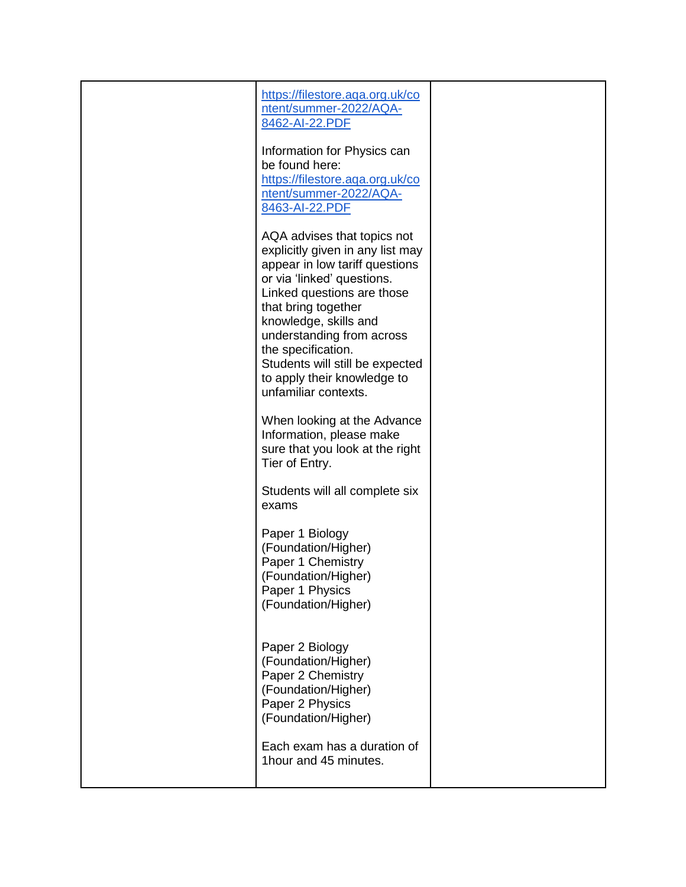| https://filestore.aqa.org.uk/co<br>ntent/summer-2022/AQA-<br>8462-AI-22.PDF                                                                                                                                                                                                                                                                                |  |
|------------------------------------------------------------------------------------------------------------------------------------------------------------------------------------------------------------------------------------------------------------------------------------------------------------------------------------------------------------|--|
| Information for Physics can<br>be found here:<br>https://filestore.aqa.org.uk/co<br>ntent/summer-2022/AQA-<br>8463-AI-22.PDF                                                                                                                                                                                                                               |  |
| AQA advises that topics not<br>explicitly given in any list may<br>appear in low tariff questions<br>or via 'linked' questions.<br>Linked questions are those<br>that bring together<br>knowledge, skills and<br>understanding from across<br>the specification.<br>Students will still be expected<br>to apply their knowledge to<br>unfamiliar contexts. |  |
| When looking at the Advance<br>Information, please make<br>sure that you look at the right<br>Tier of Entry.                                                                                                                                                                                                                                               |  |
| Students will all complete six<br>exams                                                                                                                                                                                                                                                                                                                    |  |
| Paper 1 Biology<br>(Foundation/Higher)<br>Paper 1 Chemistry<br>(Foundation/Higher)<br>Paper 1 Physics<br>(Foundation/Higher)                                                                                                                                                                                                                               |  |
| Paper 2 Biology<br>(Foundation/Higher)<br>Paper 2 Chemistry<br>(Foundation/Higher)<br>Paper 2 Physics<br>(Foundation/Higher)                                                                                                                                                                                                                               |  |
| Each exam has a duration of<br>1hour and 45 minutes.                                                                                                                                                                                                                                                                                                       |  |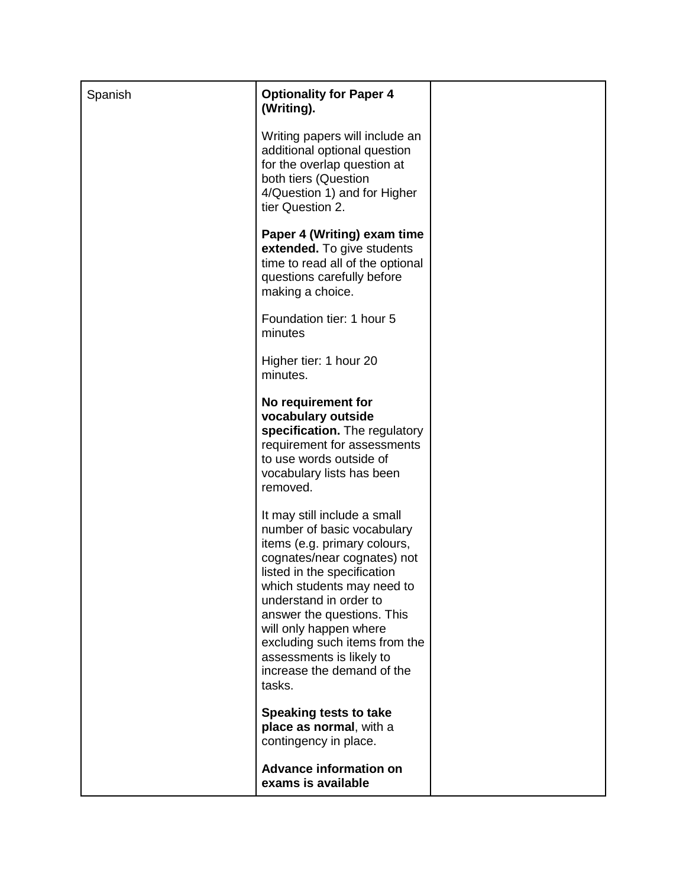| Spanish | <b>Optionality for Paper 4</b><br>(Writing).                                                                                                                                                                                                                                                                                                                                  |  |
|---------|-------------------------------------------------------------------------------------------------------------------------------------------------------------------------------------------------------------------------------------------------------------------------------------------------------------------------------------------------------------------------------|--|
|         | Writing papers will include an<br>additional optional question<br>for the overlap question at<br>both tiers (Question<br>4/Question 1) and for Higher<br>tier Question 2.                                                                                                                                                                                                     |  |
|         | Paper 4 (Writing) exam time<br>extended. To give students<br>time to read all of the optional<br>questions carefully before<br>making a choice.                                                                                                                                                                                                                               |  |
|         | Foundation tier: 1 hour 5<br>minutes                                                                                                                                                                                                                                                                                                                                          |  |
|         | Higher tier: 1 hour 20<br>minutes.                                                                                                                                                                                                                                                                                                                                            |  |
|         | No requirement for<br>vocabulary outside<br>specification. The regulatory<br>requirement for assessments<br>to use words outside of<br>vocabulary lists has been<br>removed.                                                                                                                                                                                                  |  |
|         | It may still include a small<br>number of basic vocabulary<br>items (e.g. primary colours,<br>cognates/near cognates) not<br>listed in the specification<br>which students may need to<br>understand in order to<br>answer the questions. This<br>will only happen where<br>excluding such items from the<br>assessments is likely to<br>increase the demand of the<br>tasks. |  |
|         | Speaking tests to take<br>place as normal, with a<br>contingency in place.                                                                                                                                                                                                                                                                                                    |  |
|         | <b>Advance information on</b><br>exams is available                                                                                                                                                                                                                                                                                                                           |  |